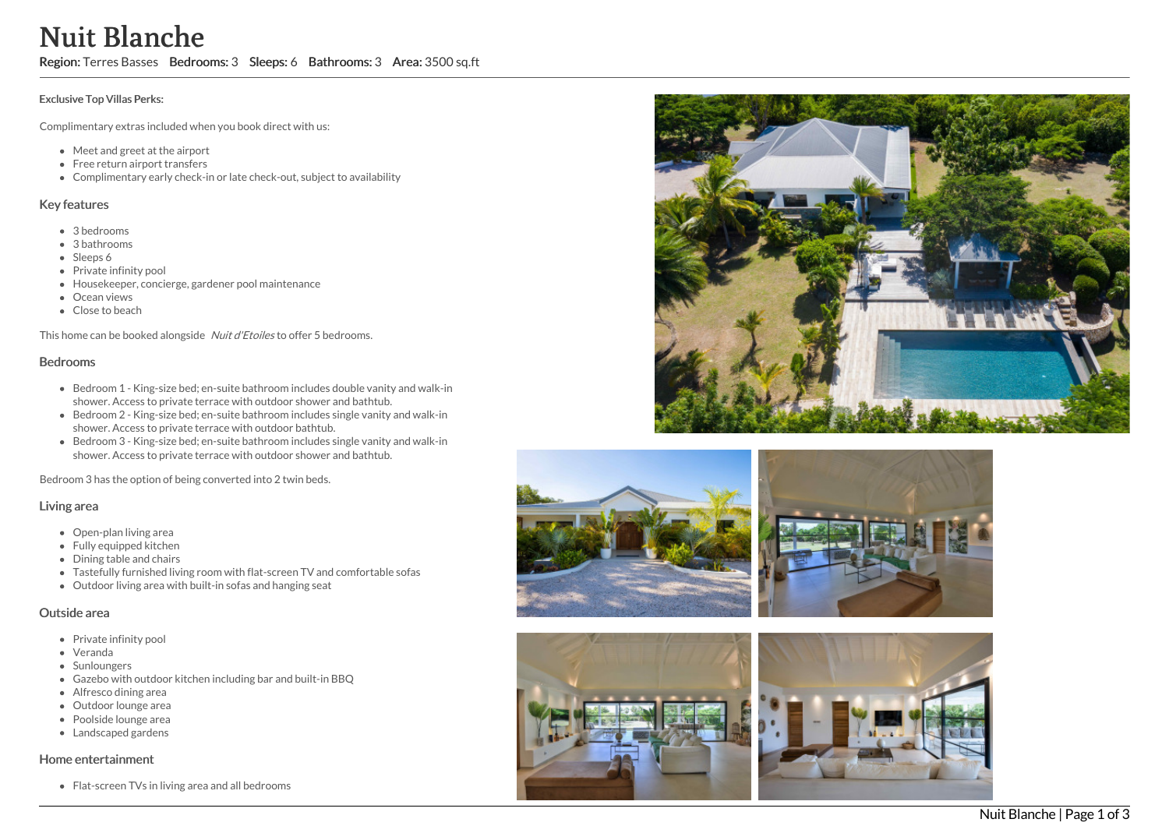# Nuit Blanche

Region: Terres Basses Bedrooms: 3 Sleeps: 6 Bathrooms: 3 Area: 3500 sq.ft

#### Exclusive Top Villas Perks:

Complimentary extras included when you book direct with us:

- Meet and greet at the airport
- Free return airport transfers
- Complimentary early check-in or late check-out, subject to availability

#### Key features

- 3 b e d r o o m s
- 3 bathrooms
- Sleeps 6
- Private infinity pool
- Housekeeper, concierge, gardener pool maintenance
- Ocean views
- Close to beach

This home can be booked alongside Nuit d'Etoiles to offer 5 bedrooms.

### Bedrooms

- Bedroom 1 King-size bed; en-suite bathroom includes double vanity and walk-in shower. Access to private terrace with outdoor shower and bathtub.
- Bedroom 2 King-size bed; en-suite bathroom includes single vanity and walk-in shower. Access to private terrace with outdoor bathtub.
- Bedroom 3 King-size bed; en-suite bathroom includes single vanity and walk-in shower. Access to private terrace with outdoor shower and bathtub.

Bedroom 3 has the option of being converted into 2 twin beds.

#### Living area

- Open-plan living area
- Fully equipped kitchen
- Dining table and chairs
- Tastefully furnished living room with flat-screen TV and comfortable s o f a s
- Outdoor living area with built-in sofas and hanging seat

## Outside area

- Private infinity pool
- Veranda
- Sunloungers
- Gazebo with outdoor kitchen including bar and built-in BBQ
- Alfresco dining area
- Outdoor lounge area
- Poolside lounge area
- Landscaped gardens

## Home entertainment

Flat-screen TVs in living area and all bedrooms









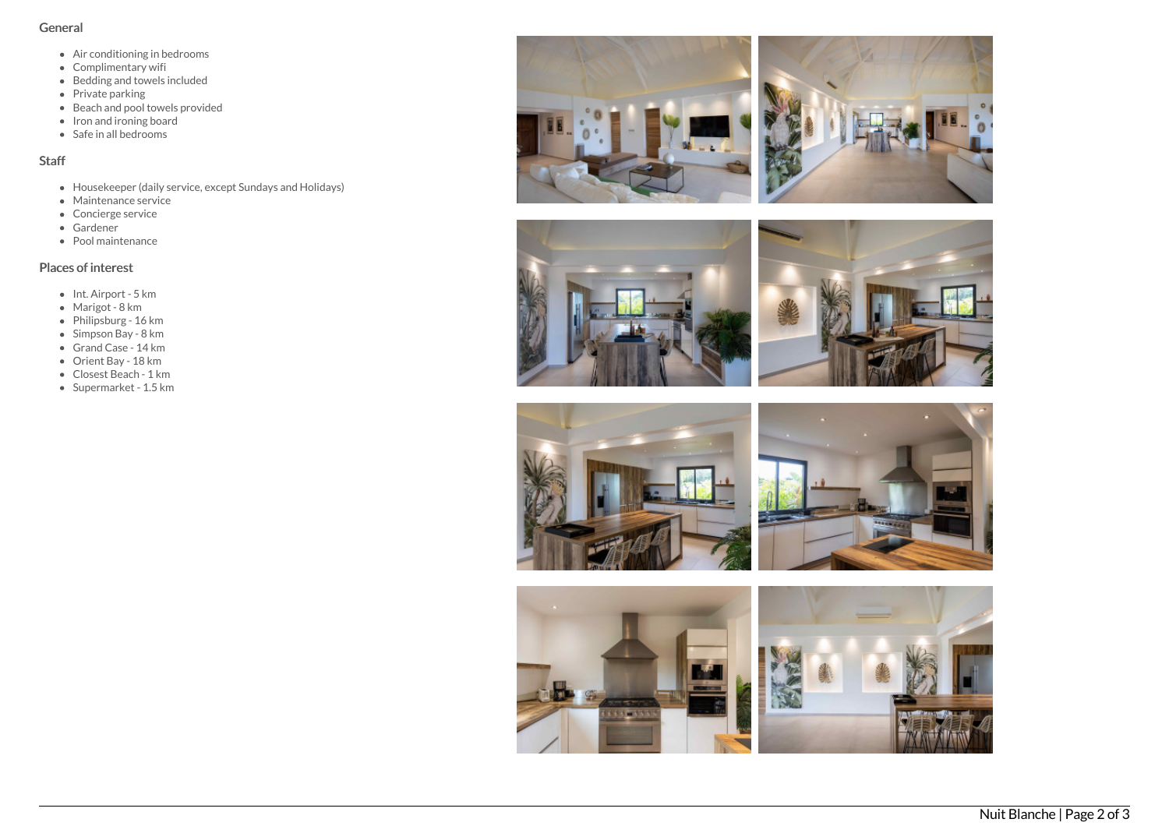## General

- Air conditioning in bedrooms
- Complimentary wifi
- Bedding and towels included
- Private parking
- Beach and pool towels provided
- Iron and ironing board
- Safe in all bedrooms

# Staff

- Housekeeper (daily service, except Sundays and Holidays)
- Maintenance service
- Concierge service
- Gardener
- Pool maintenance

## Places of interest

- Int. Airport 5 km
- Marigot 8 km
- Philipsburg 16 km
- Simpson Bay 8 km
- Grand Case 14 km
- Orient Bay 18 km
- Closest Beach 1 km
- Supermarket 1.5 km